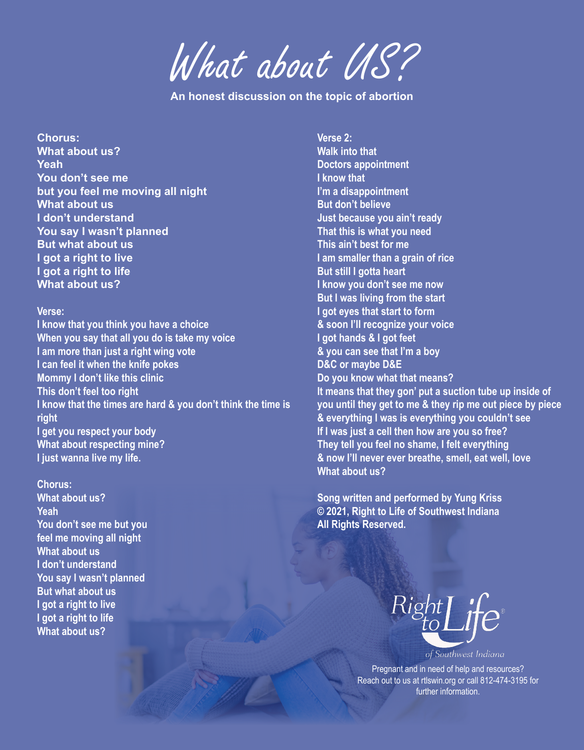What about US?

**An honest discussion on the topic of abortion**

**Chorus: What about us? Yeah You don't see me but you feel me moving all night What about us I don't understand You say I wasn't planned But what about us I got a right to live I got a right to life What about us?**

#### **Verse:**

**I know that you think you have a choice When you say that all you do is take my voice I am more than just a right wing vote I can feel it when the knife pokes Mommy I don't like this clinic This don't feel too right I know that the times are hard & you don't think the time is right I get you respect your body What about respecting mine? I just wanna live my life.**

**Chorus: What about us? Yeah You don't see me but you feel me moving all night What about us I don't understand You say I wasn't planned But what about us I got a right to live I got a right to life What about us?**

**Verse 2:**

**Walk into that Doctors appointment I know that I'm a disappointment But don't believe Just because you ain't ready That this is what you need This ain't best for me I am smaller than a grain of rice But still I gotta heart I know you don't see me now But I was living from the start I got eyes that start to form & soon I'll recognize your voice I got hands & I got feet & you can see that I'm a boy D&C or maybe D&E Do you know what that means? It means that they gon' put a suction tube up inside of you until they get to me & they rip me out piece by piece & everything I was is everything you couldn't see If I was just a cell then how are you so free? They tell you feel no shame, I felt everything & now I'll never ever breathe, smell, eat well, love What about us?**

**Song written and performed by Yung Kriss © 2021, Right to Life of Southwest Indiana All Rights Reserved.** 



of Southwest Indiana

Pregnant and in need of help and resources? Reach out to us at rtlswin.org or call 812-474-3195 for further information.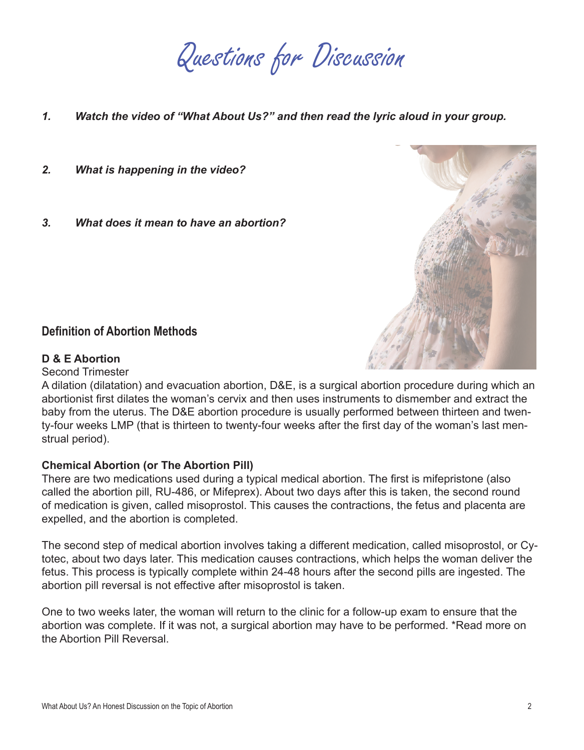Questions for Discussion

- *1. Watch the video of "What About Us?" and then read the lyric aloud in your group.*
- *2. What is happening in the video?*
- *3. What does it mean to have an abortion?*

# **Definition of Abortion Methods**

### **D & E Abortion**

Second Trimester

A dilation (dilatation) and evacuation abortion, D&E, is a surgical abortion procedure during which an abortionist first dilates the woman's cervix and then uses instruments to dismember and extract the baby from the uterus. The D&E abortion procedure is usually performed between thirteen and twenty-four weeks LMP (that is thirteen to twenty-four weeks after the first day of the woman's last menstrual period).

### **Chemical Abortion (or The Abortion Pill)**

There are two medications used during a typical medical abortion. The first is mifepristone (also called the abortion pill, RU-486, or Mifeprex). About two days after this is taken, the second round of medication is given, called misoprostol. This causes the contractions, the fetus and placenta are expelled, and the abortion is completed.

The second step of medical abortion involves taking a different medication, called misoprostol, or Cytotec, about two days later. This medication causes contractions, which helps the woman deliver the fetus. This process is typically complete within 24-48 hours after the second pills are ingested. The abortion pill reversal is not effective after misoprostol is taken.

One to two weeks later, the woman will return to the clinic for a follow-up exam to ensure that the abortion was complete. If it was not, a surgical abortion may have to be performed. \*Read more on the Abortion Pill Reversal.

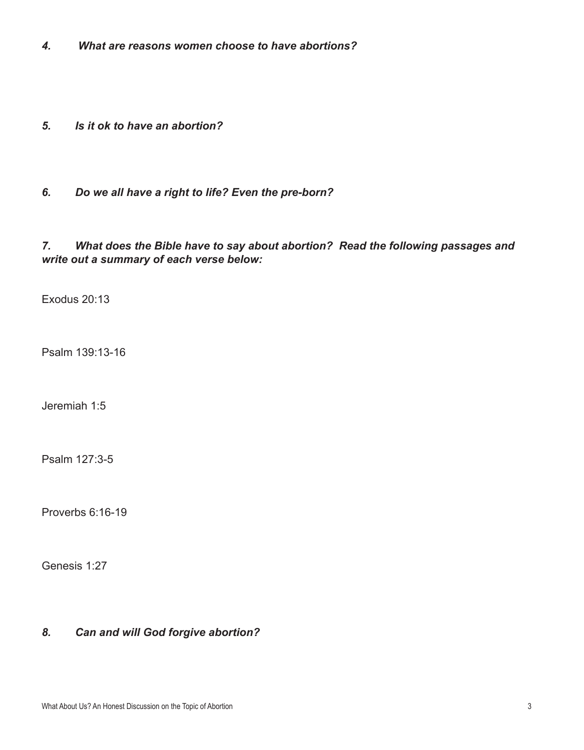- *4. What are reasons women choose to have abortions?*
- *5. Is it ok to have an abortion?*
- *6. Do we all have a right to life? Even the pre-born?*

# *7. What does the Bible have to say about abortion? Read the following passages and write out a summary of each verse below:*

Exodus 20:13

Psalm 139:13-16

Jeremiah 1:5

Psalm 127:3-5

Proverbs 6:16-19

Genesis 1:27

# *8. Can and will God forgive abortion?*